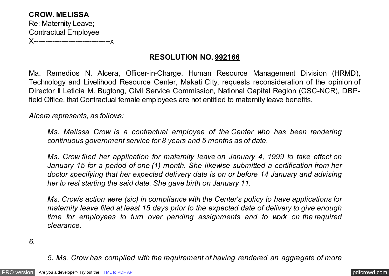**CROW. MELISSA** Re: Maternity Leave; Contractual Employee X---------------------------------x

## **RESOLUTION NO. 992166**

Ma. Remedios N. Alcera, Officer-in-Charge, Human Resource Management Division (HRMD), Technology and Livelihood Resource Center, Makati City, requests reconsideration of the opinion of Director II Leticia M. Bugtong, Civil Service Commission, National Capital Region (CSC-NCR), DBPfield Office, that Contractual female employees are not entitled to maternity leave benefits.

*Alcera represents, as follows:*

*Ms. Melissa Crow is a contractual employee of the Center who has been rendering continuous government service for 8 years and 5 months as of date.*

*Ms. Crow filed her application for maternity leave on January 4, 1999 to take effect on January 15 for a period of one (1) month. She likewise submitted a certification from her doctor specifying that her expected delivery date is on or before 14 January and advising her to rest starting the said date. She gave birth on January 11.*

*Ms. Crow's action were (sic) in compliance with the Center's policy to have applications for maternity leave filed at least 15 days prior to the expected date of delivery to give enough time for employees to turn over pending assignments and to work on the required clearance.*

*6.*

*5. Ms. Crow has complied with the requirement of having rendered an aggregate of more*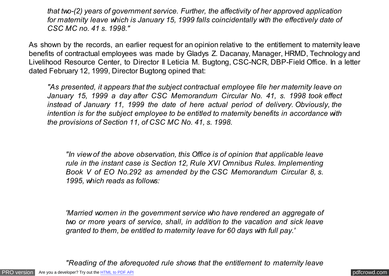*that two-(2) years of government service. Further, the affectivity of her approved application for maternity leave which is January 15, 1999 falls coincidentally with the effectively date of CSC MC no. 41 s. 1998."*

As shown by the records, an earlier request for an opinion relative to the entitlement to maternity leave benefits of contractual employees was made by Gladys Z. Dacanay, Manager, HRMD, Technology and Livelihood Resource Center, to Director II Leticia M. Bugtong, CSC-NCR, DBP-Field Office. In a letter dated February 12, 1999, Director Bugtong opined that:

*"As presented, it appears that the subject contractual employee file her maternity leave on January 15, 1999 a day after CSC Memorandum Circular No. 41, s. 1998 took effect instead of January 11, 1999 the date of here actual period of delivery. Obviously, the intention is for the subject employee to be entitled to maternity benefits in accordance with the provisions of Section 11, of CSC MC No. 41, s. 1998.*

*"In view of the above observation, this Office is of opinion that applicable leave rule in the instant case is Section 12, Rule XVI Omnibus Rules. Implementing Book V of EO No.292 as amended by the CSC Memorandum Circular 8, s. 1995, which reads as follows:*

*'Married women in the government service who have rendered an aggregate of two or more years of service, shall, in addition to the vacation and sick leave granted to them, be entitled to maternity leave for 60 days with full pay.'*

*"Reading of the aforequoted rule shows that the entitlement to maternity leave*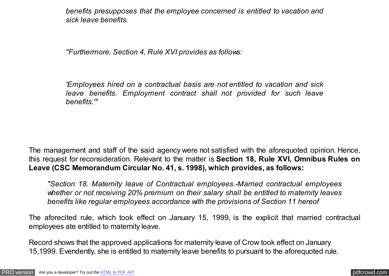*benefits presupposes that the employee concerned is entitled to vacation and sick leave benefits.*

*"Furthermore, Section 4, Rule XVI provides as follows:*

*'Employees hired on a contractual basis are not entitled to vacation and sick leave benefits. Employment contract shall not provided for such leave benefits.'"*

The management and staff of the said agency were not satisfied with the aforequoted opinion. Hence, this request for reconsideration. Relevant to the matter is **Section 18, Rule XVI, Omnibus Rules on Leave (CSC Memorandum Circular No. 41, s. 1998), which provides, as follows:**

*"Section 18. Maternity leave of Contractual employees.-Married contractual employees whether or not receiving 20% premium on their salary shall be entitled to maternity leaves benefits like regular employees accordance with the provisions of Section 11 hereof*

The aforecited rule, which took effect on January 15, 1999, is the explicit that married contractual employees ate entitled to maternity leave.

Record shows that the approved applications for maternity leave of Crow took effect on January 15,1999. Evendently, she is entitled to maternity leave benefits to pursuant to the aforequoted rule.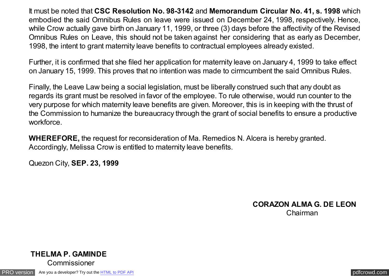It must be noted that **CSC Resolution No. 98-3142** and **Memorandum Circular No. 41, s. 1998** which embodied the said Omnibus Rules on leave were issued on December 24, 1998, respectively. Hence, while Crow actually gave birth on January 11, 1999, or three (3) days before the affectivity of the Revised Omnibus Rules on Leave, this should not be taken against her considering that as early as December, 1998, the intent to grant maternity leave benefits to contractual employees already existed.

Further, it is confirmed that she filed her application for maternity leave on January 4, 1999 to take effect on January 15, 1999. This proves that no intention was made to cirmcumbent the said Omnibus Rules.

Finally, the Leave Law being a social legislation, must be liberally construed such that any doubt as regards its grant must be resolved in favor of the employee. To rule otherwise, would run counter to the very purpose for which maternity leave benefits are given. Moreover, this is in keeping with the thrust of the Commission to humanize the bureaucracy through the grant of social benefits to ensure a productive workforce.

**WHEREFORE,** the request for reconsideration of Ma. Remedios N. Alcera is hereby granted. Accordingly, Melissa Crow is entitled to maternity leave benefits.

Quezon City, **SEP. 23, 1999**

**CORAZON ALMA G. DE LEON** Chairman



[PRO version](http://pdfcrowd.com/customize/) Are you a developer? Try out th[e HTML to PDF API](http://pdfcrowd.com/html-to-pdf-api/?ref=pdf) contract the contract of the HTML to PDF API [pdfcrowd.com](http://pdfcrowd.com)